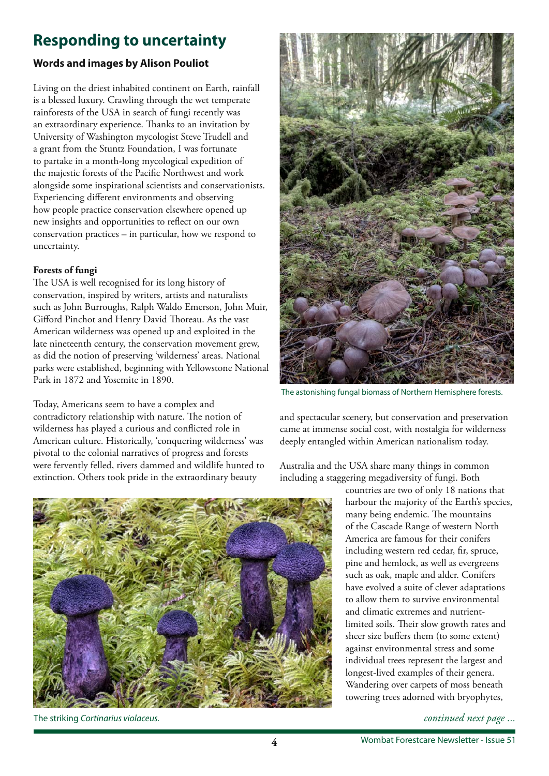# **Responding to uncertainty**

### **Words and images by Alison Pouliot**

Living on the driest inhabited continent on Earth, rainfall is a blessed luxury. Crawling through the wet temperate rainforests of the USA in search of fungi recently was an extraordinary experience. Thanks to an invitation by University of Washington mycologist Steve Trudell and a grant from the Stuntz Foundation, I was fortunate to partake in a month-long mycological expedition of the majestic forests of the Pacifc Northwest and work alongside some inspirational scientists and conservationists. Experiencing diferent environments and observing how people practice conservation elsewhere opened up new insights and opportunities to refect on our own conservation practices – in particular, how we respond to uncertainty.

### **Forests of fungi**

The USA is well recognised for its long history of conservation, inspired by writers, artists and naturalists such as John Burroughs, Ralph Waldo Emerson, John Muir, Gifford Pinchot and Henry David Thoreau. As the vast American wilderness was opened up and exploited in the late nineteenth century, the conservation movement grew, as did the notion of preserving 'wilderness' areas. National parks were established, beginning with Yellowstone National Park in 1872 and Yosemite in 1890.

Today, Americans seem to have a complex and contradictory relationship with nature. The notion of wilderness has played a curious and conficted role in American culture. Historically, 'conquering wilderness' was pivotal to the colonial narratives of progress and forests were fervently felled, rivers dammed and wildlife hunted to extinction. Others took pride in the extraordinary beauty



The astonishing fungal biomass of Northern Hemisphere forests.

and spectacular scenery, but conservation and preservation came at immense social cost, with nostalgia for wilderness deeply entangled within American nationalism today.

Australia and the USA share many things in common including a staggering megadiversity of fungi. Both



The striking *Cortinarius violaceus.*

*continued next page ...*